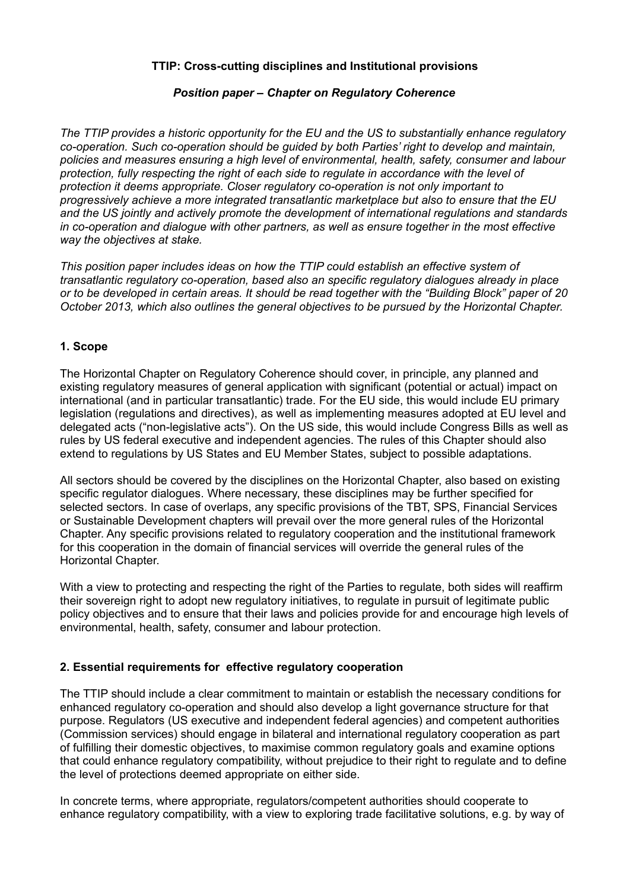# **TTIP: Cross-cutting disciplines and Institutional provisions**

### *Position paper – Chapter on Regulatory Coherence*

*The TTIP provides a historic opportunity for the EU and the US to substantially enhance regulatory co-operation. Such co-operation should be guided by both Parties' right to develop and maintain, policies and measures ensuring a high level of environmental, health, safety, consumer and labour protection, fully respecting the right of each side to regulate in accordance with the level of protection it deems appropriate. Closer regulatory co-operation is not only important to progressively achieve a more integrated transatlantic marketplace but also to ensure that the EU and the US jointly and actively promote the development of international regulations and standards in co-operation and dialogue with other partners, as well as ensure together in the most effective way the objectives at stake.*

*This position paper includes ideas on how the TTIP could establish an effective system of transatlantic regulatory co-operation, based also an specific regulatory dialogues already in place or to be developed in certain areas. It should be read together with the "Building Block" paper of 20 October 2013, which also outlines the general objectives to be pursued by the Horizontal Chapter.*

### **1. Scope**

The Horizontal Chapter on Regulatory Coherence should cover, in principle, any planned and existing regulatory measures of general application with significant (potential or actual) impact on international (and in particular transatlantic) trade. For the EU side, this would include EU primary legislation (regulations and directives), as well as implementing measures adopted at EU level and delegated acts ("non-legislative acts"). On the US side, this would include Congress Bills as well as rules by US federal executive and independent agencies. The rules of this Chapter should also extend to regulations by US States and EU Member States, subject to possible adaptations.

All sectors should be covered by the disciplines on the Horizontal Chapter, also based on existing specific regulator dialogues. Where necessary, these disciplines may be further specified for selected sectors. In case of overlaps, any specific provisions of the TBT, SPS, Financial Services or Sustainable Development chapters will prevail over the more general rules of the Horizontal Chapter. Any specific provisions related to regulatory cooperation and the institutional framework for this cooperation in the domain of financial services will override the general rules of the Horizontal Chapter.

With a view to protecting and respecting the right of the Parties to regulate, both sides will reaffirm their sovereign right to adopt new regulatory initiatives, to regulate in pursuit of legitimate public policy objectives and to ensure that their laws and policies provide for and encourage high levels of environmental, health, safety, consumer and labour protection.

### **2. Essential requirements for effective regulatory cooperation**

The TTIP should include a clear commitment to maintain or establish the necessary conditions for enhanced regulatory co-operation and should also develop a light governance structure for that purpose. Regulators (US executive and independent federal agencies) and competent authorities (Commission services) should engage in bilateral and international regulatory cooperation as part of fulfilling their domestic objectives, to maximise common regulatory goals and examine options that could enhance regulatory compatibility, without prejudice to their right to regulate and to define the level of protections deemed appropriate on either side.

In concrete terms, where appropriate, regulators/competent authorities should cooperate to enhance regulatory compatibility, with a view to exploring trade facilitative solutions, e.g. by way of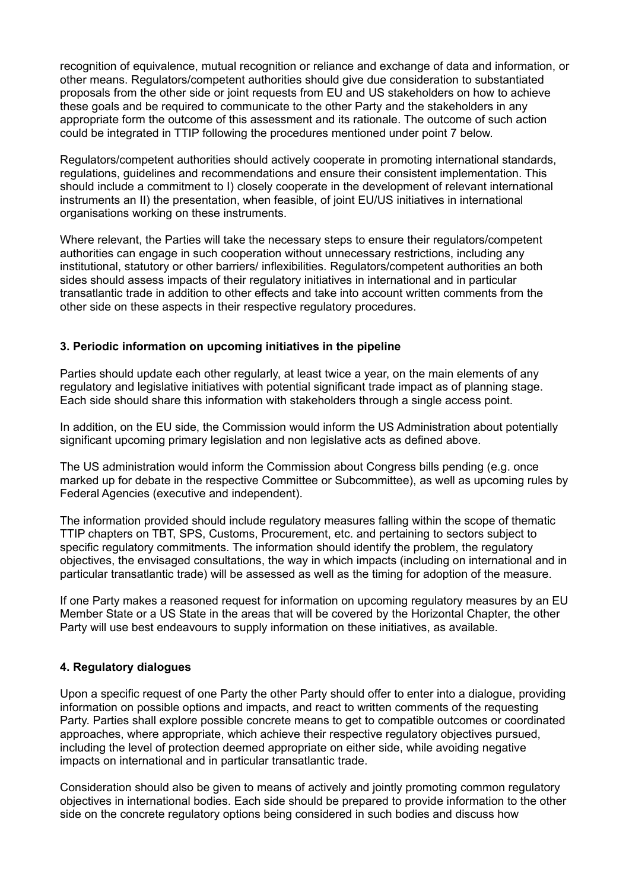recognition of equivalence, mutual recognition or reliance and exchange of data and information, or other means. Regulators/competent authorities should give due consideration to substantiated proposals from the other side or joint requests from EU and US stakeholders on how to achieve these goals and be required to communicate to the other Party and the stakeholders in any appropriate form the outcome of this assessment and its rationale. The outcome of such action could be integrated in TTIP following the procedures mentioned under point 7 below.

Regulators/competent authorities should actively cooperate in promoting international standards, regulations, guidelines and recommendations and ensure their consistent implementation. This should include a commitment to I) closely cooperate in the development of relevant international instruments an II) the presentation, when feasible, of joint EU/US initiatives in international organisations working on these instruments.

Where relevant, the Parties will take the necessary steps to ensure their regulators/competent authorities can engage in such cooperation without unnecessary restrictions, including any institutional, statutory or other barriers/ inflexibilities. Regulators/competent authorities an both sides should assess impacts of their regulatory initiatives in international and in particular transatlantic trade in addition to other effects and take into account written comments from the other side on these aspects in their respective regulatory procedures.

# **3. Periodic information on upcoming initiatives in the pipeline**

Parties should update each other regularly, at least twice a year, on the main elements of any regulatory and legislative initiatives with potential significant trade impact as of planning stage. Each side should share this information with stakeholders through a single access point.

In addition, on the EU side, the Commission would inform the US Administration about potentially significant upcoming primary legislation and non legislative acts as defined above.

The US administration would inform the Commission about Congress bills pending (e.g. once marked up for debate in the respective Committee or Subcommittee), as well as upcoming rules by Federal Agencies (executive and independent).

The information provided should include regulatory measures falling within the scope of thematic TTIP chapters on TBT, SPS, Customs, Procurement, etc. and pertaining to sectors subject to specific regulatory commitments. The information should identify the problem, the regulatory objectives, the envisaged consultations, the way in which impacts (including on international and in particular transatlantic trade) will be assessed as well as the timing for adoption of the measure.

If one Party makes a reasoned request for information on upcoming regulatory measures by an EU Member State or a US State in the areas that will be covered by the Horizontal Chapter, the other Party will use best endeavours to supply information on these initiatives, as available.

### **4. Regulatory dialogues**

Upon a specific request of one Party the other Party should offer to enter into a dialogue, providing information on possible options and impacts, and react to written comments of the requesting Party. Parties shall explore possible concrete means to get to compatible outcomes or coordinated approaches, where appropriate, which achieve their respective regulatory objectives pursued, including the level of protection deemed appropriate on either side, while avoiding negative impacts on international and in particular transatlantic trade.

Consideration should also be given to means of actively and jointly promoting common regulatory objectives in international bodies. Each side should be prepared to provide information to the other side on the concrete regulatory options being considered in such bodies and discuss how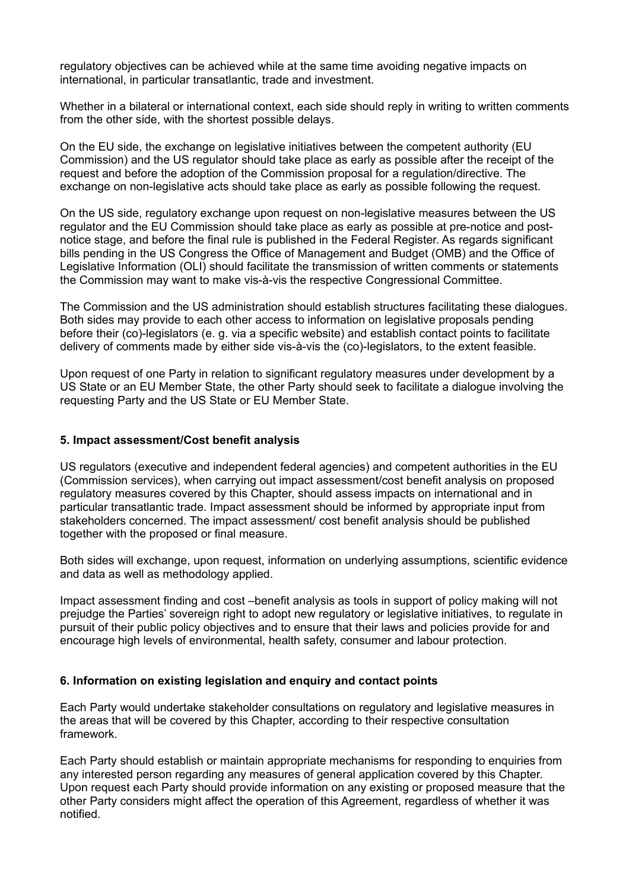regulatory objectives can be achieved while at the same time avoiding negative impacts on international, in particular transatlantic, trade and investment.

Whether in a bilateral or international context, each side should reply in writing to written comments from the other side, with the shortest possible delays.

On the EU side, the exchange on legislative initiatives between the competent authority (EU Commission) and the US regulator should take place as early as possible after the receipt of the request and before the adoption of the Commission proposal for a regulation/directive. The exchange on non-legislative acts should take place as early as possible following the request.

On the US side, regulatory exchange upon request on non-legislative measures between the US regulator and the EU Commission should take place as early as possible at pre-notice and postnotice stage, and before the final rule is published in the Federal Register. As regards significant bills pending in the US Congress the Office of Management and Budget (OMB) and the Office of Legislative Information (OLI) should facilitate the transmission of written comments or statements the Commission may want to make vis-à-vis the respective Congressional Committee.

The Commission and the US administration should establish structures facilitating these dialogues. Both sides may provide to each other access to information on legislative proposals pending before their (co)-legislators (e. g. via a specific website) and establish contact points to facilitate delivery of comments made by either side vis-à-vis the (co)-legislators, to the extent feasible.

Upon request of one Party in relation to significant regulatory measures under development by a US State or an EU Member State, the other Party should seek to facilitate a dialogue involving the requesting Party and the US State or EU Member State.

#### **5. Impact assessment/Cost benefit analysis**

US regulators (executive and independent federal agencies) and competent authorities in the EU (Commission services), when carrying out impact assessment/cost benefit analysis on proposed regulatory measures covered by this Chapter, should assess impacts on international and in particular transatlantic trade. Impact assessment should be informed by appropriate input from stakeholders concerned. The impact assessment/ cost benefit analysis should be published together with the proposed or final measure.

Both sides will exchange, upon request, information on underlying assumptions, scientific evidence and data as well as methodology applied.

Impact assessment finding and cost –benefit analysis as tools in support of policy making will not prejudge the Parties' sovereign right to adopt new regulatory or legislative initiatives, to regulate in pursuit of their public policy objectives and to ensure that their laws and policies provide for and encourage high levels of environmental, health safety, consumer and labour protection.

### **6. Information on existing legislation and enquiry and contact points**

Each Party would undertake stakeholder consultations on regulatory and legislative measures in the areas that will be covered by this Chapter, according to their respective consultation framework.

Each Party should establish or maintain appropriate mechanisms for responding to enquiries from any interested person regarding any measures of general application covered by this Chapter. Upon request each Party should provide information on any existing or proposed measure that the other Party considers might affect the operation of this Agreement, regardless of whether it was notified.